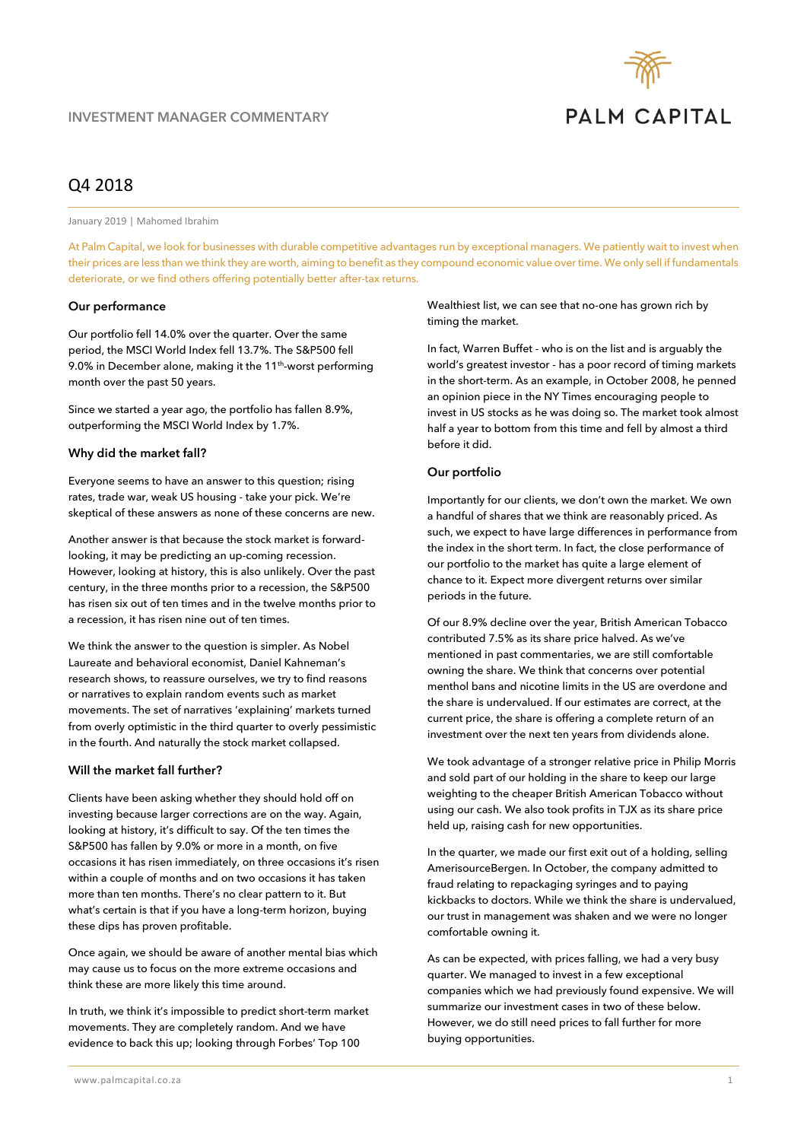

# Q4 2018

January 2019 | Mahomed Ibrahim

At Palm Capital, we look for businesses with durable competitive advantages run by exceptional managers. We patiently wait to invest when their prices are less than we think they are worth, aiming to benefit as they compound economic value over time. We only sell if fundamentals deteriorate, or we find others offering potentially better after-tax returns.

## **Our performance**

Our portfolio fell 14.0% over the quarter. Over the same period, the MSCI World Index fell 13.7%. The S&P500 fell 9.0% in December alone, making it the 11<sup>th</sup>-worst performing month over the past 50 years.

Since we started a year ago, the portfolio has fallen 8.9%, outperforming the MSCI World Index by 1.7%.

## **Why did the market fall?**

Everyone seems to have an answer to this question; rising rates, trade war, weak US housing - take your pick. We're skeptical of these answers as none of these concerns are new.

Another answer is that because the stock market is forwardlooking, it may be predicting an up-coming recession. However, looking at history, this is also unlikely. Over the past century, in the three months prior to a recession, the S&P500 has risen six out of ten times and in the twelve months prior to a recession, it has risen nine out of ten times.

We think the answer to the question is simpler. As Nobel Laureate and behavioral economist, Daniel Kahneman's research shows, to reassure ourselves, we try to find reasons or narratives to explain random events such as market movements. The set of narratives 'explaining' markets turned from overly optimistic in the third quarter to overly pessimistic in the fourth. And naturally the stock market collapsed.

## **Will the market fall further?**

Clients have been asking whether they should hold off on investing because larger corrections are on the way. Again, looking at history, it's difficult to say. Of the ten times the S&P500 has fallen by 9.0% or more in a month, on five occasions it has risen immediately, on three occasions it's risen within a couple of months and on two occasions it has taken more than ten months. There's no clear pattern to it. But what's certain is that if you have a long-term horizon, buying these dips has proven profitable.

Once again, we should be aware of another mental bias which may cause us to focus on the more extreme occasions and think these are more likely this time around.

In truth, we think it's impossible to predict short-term market movements. They are completely random. And we have evidence to back this up; looking through Forbes' Top 100

Wealthiest list, we can see that no-one has grown rich by timing the market.

In fact, Warren Buffet - who is on the list and is arguably the world's greatest investor - has a poor record of timing markets in the short-term. As an example, in October 2008, he penned an opinion piece in the NY Times encouraging people to invest in US stocks as he was doing so. The market took almost half a year to bottom from this time and fell by almost a third before it did.

## **Our portfolio**

Importantly for our clients, we don't own the market. We own a handful of shares that we think are reasonably priced. As such, we expect to have large differences in performance from the index in the short term. In fact, the close performance of our portfolio to the market has quite a large element of chance to it. Expect more divergent returns over similar periods in the future.

Of our 8.9% decline over the year, British American Tobacco contributed 7.5% as its share price halved. As we've mentioned in past commentaries, we are still comfortable owning the share. We think that concerns over potential menthol bans and nicotine limits in the US are overdone and the share is undervalued. If our estimates are correct, at the current price, the share is offering a complete return of an investment over the next ten years from dividends alone.

We took advantage of a stronger relative price in Philip Morris and sold part of our holding in the share to keep our large weighting to the cheaper British American Tobacco without using our cash. We also took profits in TJX as its share price held up, raising cash for new opportunities.

In the quarter, we made our first exit out of a holding, selling AmerisourceBergen. In October, the company admitted to fraud relating to repackaging syringes and to paying kickbacks to doctors. While we think the share is undervalued, our trust in management was shaken and we were no longer comfortable owning it.

As can be expected, with prices falling, we had a very busy quarter. We managed to invest in a few exceptional companies which we had previously found expensive. We will summarize our investment cases in two of these below. However, we do still need prices to fall further for more buying opportunities.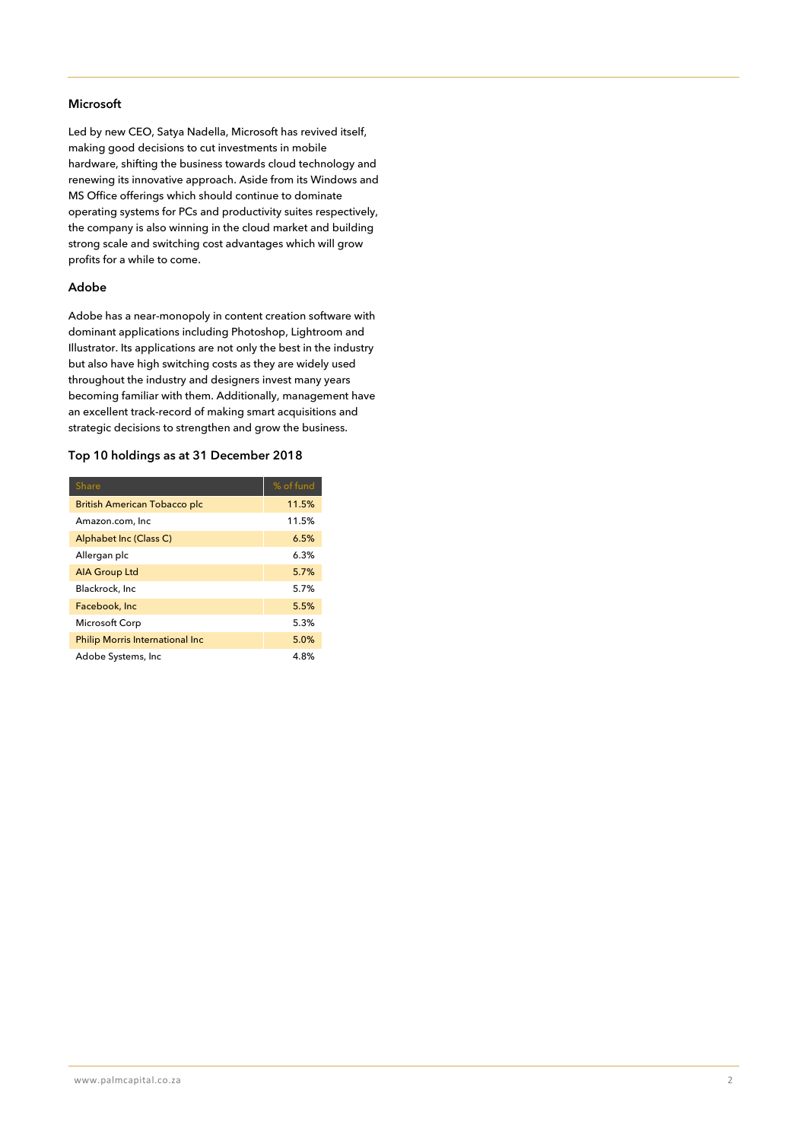## **Microsoft**

Led by new CEO, Satya Nadella, Microsoft has revived itself, making good decisions to cut investments in mobile hardware, shifting the business towards cloud technology and renewing its innovative approach. Aside from its Windows and MS Office offerings which should continue to dominate operating systems for PCs and productivity suites respectively, the company is also winning in the cloud market and building strong scale and switching cost advantages which will grow profits for a while to come.

## **Adobe**

Adobe has a near-monopoly in content creation software with dominant applications including Photoshop, Lightroom and Illustrator. Its applications are not only the best in the industry but also have high switching costs as they are widely used throughout the industry and designers invest many years becoming familiar with them. Additionally, management have an excellent track-record of making smart acquisitions and strategic decisions to strengthen and grow the business.

## **Top 10 holdings as at 31 December 2018**

| <b>Share</b>                           | % of fund |
|----------------------------------------|-----------|
| <b>British American Tobacco plc</b>    | 11.5%     |
| Amazon.com, Inc                        | 11.5%     |
| Alphabet Inc (Class C)                 | 6.5%      |
| Allergan plc                           | 6.3%      |
| <b>AIA Group Ltd</b>                   | 5.7%      |
| Blackrock, Inc.                        | 5.7%      |
| Facebook, Inc.                         | 5.5%      |
| Microsoft Corp                         | 5.3%      |
| <b>Philip Morris International Inc</b> | 5.0%      |
| Adobe Systems, Inc.                    | 4.8%      |